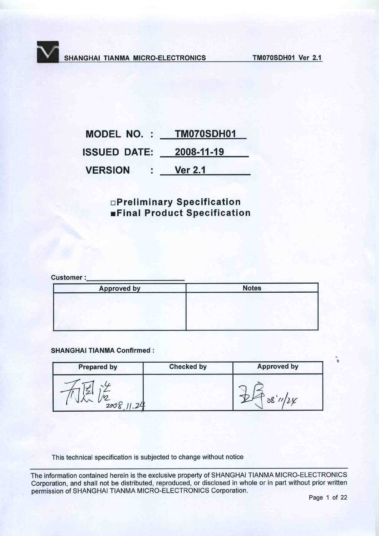| <b>MODEL NO.:</b>  | TM070SDH01     |
|--------------------|----------------|
| <b>SSUED DATE:</b> | 2008-11-19     |
| <b>VERSION</b>     | <b>Ver 2.1</b> |

# **OPreliminary Specification Einal Product Specification**

**Customer:** 

| <b>Approved by</b> | <b>Notes</b> |
|--------------------|--------------|
|                    |              |
|                    |              |
|                    |              |

### **SHANGHAI TIANMA Confirmed:**

| <b>Prepared by</b> | <b>Checked by</b> | <b>Approved by</b> |
|--------------------|-------------------|--------------------|
| 299                |                   |                    |

This technical specification is subjected to change without notice

The information contained herein is the exclusive property of SHANGHAI TIANMA MICRO-ELECTRONICS Corporation, and shall not be distributed, reproduced, or disclosed in whole or in part without prior written permission of SHANGHAI TIANMA MICRO-ELECTRONICS Corporation.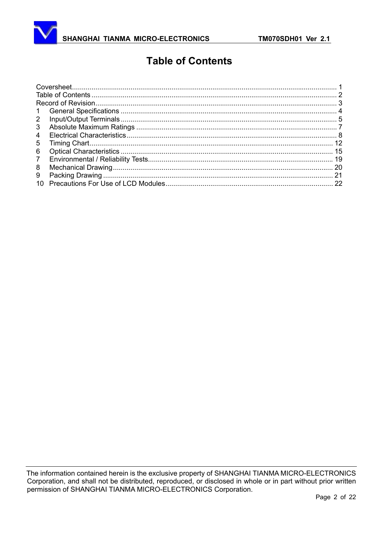# **Table of Contents**

| $\mathbf{1}$   |  |
|----------------|--|
| $\overline{2}$ |  |
| 3              |  |
| 4              |  |
| 5              |  |
| 6              |  |
| $\overline{7}$ |  |
| 8              |  |
| 9              |  |
| 10             |  |
|                |  |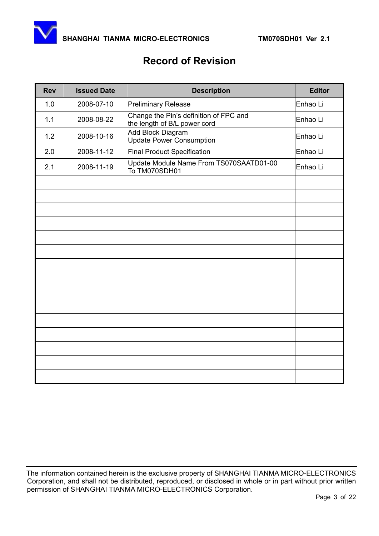

# **Record of Revision**

| <b>Rev</b> | <b>Issued Date</b> | <b>Description</b>                                                     | <b>Editor</b> |
|------------|--------------------|------------------------------------------------------------------------|---------------|
| 1.0        | 2008-07-10         | <b>Preliminary Release</b>                                             | Enhao Li      |
| 1.1        | 2008-08-22         | Change the Pin's definition of FPC and<br>the length of B/L power cord | Enhao Li      |
| 1.2        | 2008-10-16         | Add Block Diagram<br><b>Update Power Consumption</b>                   | Enhao Li      |
| 2.0        | 2008-11-12         | <b>Final Product Specification</b>                                     | Enhao Li      |
| 2.1        | 2008-11-19         | Update Module Name From TS070SAATD01-00<br>To TM070SDH01               | Enhao Li      |
|            |                    |                                                                        |               |
|            |                    |                                                                        |               |
|            |                    |                                                                        |               |
|            |                    |                                                                        |               |
|            |                    |                                                                        |               |
|            |                    |                                                                        |               |
|            |                    |                                                                        |               |
|            |                    |                                                                        |               |
|            |                    |                                                                        |               |
|            |                    |                                                                        |               |
|            |                    |                                                                        |               |
|            |                    |                                                                        |               |
|            |                    |                                                                        |               |
|            |                    |                                                                        |               |
|            |                    |                                                                        |               |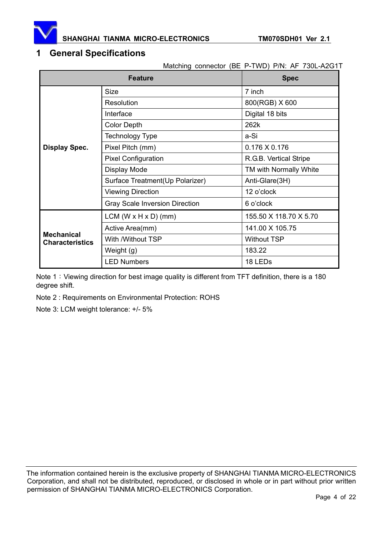

# **1 General Specifications**

Matching connector (BE P-TWD) P/N: AF 730L-A2G1T

|                                             | <b>Feature</b>                        | <b>Spec</b>            |  |
|---------------------------------------------|---------------------------------------|------------------------|--|
|                                             | <b>Size</b>                           | 7 inch                 |  |
|                                             | <b>Resolution</b>                     | 800(RGB) X 600         |  |
|                                             | Interface                             | Digital 18 bits        |  |
|                                             | <b>Color Depth</b>                    | 262k                   |  |
|                                             | Technology Type                       | a-Si                   |  |
| <b>Display Spec.</b>                        | Pixel Pitch (mm)                      | $0.176$ X 0.176        |  |
|                                             | <b>Pixel Configuration</b>            | R.G.B. Vertical Stripe |  |
|                                             | <b>Display Mode</b>                   | TM with Normally White |  |
|                                             | Surface Treatment(Up Polarizer)       | Anti-Glare(3H)         |  |
|                                             | <b>Viewing Direction</b>              | 12 o'clock             |  |
|                                             | <b>Gray Scale Inversion Direction</b> | 6 o'clock              |  |
|                                             | $LCM (W \times H \times D)$ (mm)      | 155.50 X 118.70 X 5.70 |  |
|                                             | Active Area(mm)                       | 141.00 X 105.75        |  |
| <b>Mechanical</b><br><b>Characteristics</b> | With /Without TSP                     | <b>Without TSP</b>     |  |
|                                             | Weight (g)                            | 183.22                 |  |
|                                             | <b>LED Numbers</b>                    | 18 LED <sub>s</sub>    |  |

Note 1: Viewing direction for best image quality is different from TFT definition, there is a 180 degree shift.

Note 2 : Requirements on Environmental Protection: ROHS

Note 3: LCM weight tolerance: +/- 5%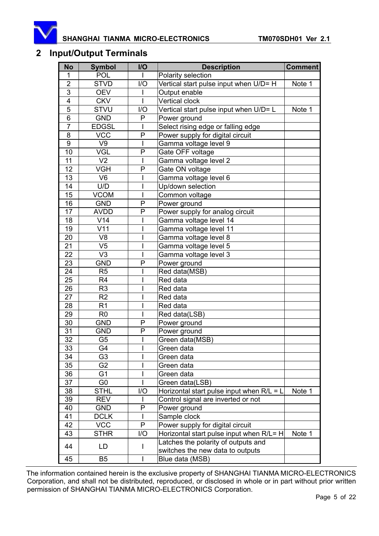

# **2 Input/Output Terminals**

| <b>No</b>      | <b>Symbol</b>  | I/O          | <b>Description</b>                                                      | <b>Comment</b> |
|----------------|----------------|--------------|-------------------------------------------------------------------------|----------------|
| 1              | <b>POL</b>     |              | Polarity selection                                                      |                |
| $\overline{2}$ | <b>STVD</b>    | I/O          | Vertical start pulse input when U/D= H                                  | Note 1         |
| $\overline{3}$ | <b>OEV</b>     |              | Output enable                                                           |                |
| 4              | <b>CKV</b>     | I            | Vertical clock                                                          |                |
| $\overline{5}$ | <b>STVU</b>    | I/O          | Vertical start pulse input when U/D= L                                  | Note 1         |
| $\overline{6}$ | <b>GND</b>     | P            | Power ground                                                            |                |
| $\overline{7}$ | <b>EDGSL</b>   |              | Select rising edge or falling edge                                      |                |
| 8              | <b>VCC</b>     | P            | Power supply for digital circuit                                        |                |
| 9              | V9             |              | Gamma voltage level 9                                                   |                |
| 10             | VGL            | P            | Gate OFF voltage                                                        |                |
| 11             | V <sub>2</sub> | $\mathsf I$  | Gamma voltage level 2                                                   |                |
| 12             | <b>VGH</b>     | P            | Gate ON voltage                                                         |                |
| 13             | V <sub>6</sub> |              | Gamma voltage level 6                                                   |                |
| 14             | U/D            |              | Up/down selection                                                       |                |
| 15             | <b>VCOM</b>    |              | Common voltage                                                          |                |
| 16             | <b>GND</b>     | P            | Power ground                                                            |                |
| 17             | <b>AVDD</b>    | P            | Power supply for analog circuit                                         |                |
| 18             | V14            |              | Gamma voltage level 14                                                  |                |
| 19             | V11            |              | Gamma voltage level 11                                                  |                |
| 20             | V <sub>8</sub> |              | Gamma voltage level 8                                                   |                |
| 21             | V <sub>5</sub> |              | Gamma voltage level 5                                                   |                |
| 22             | V <sub>3</sub> | I            | Gamma voltage level 3                                                   |                |
| 23             | <b>GND</b>     | P            | Power ground                                                            |                |
| 24             | R <sub>5</sub> |              | Red data(MSB)                                                           |                |
| 25             | R <sub>4</sub> |              | Red data                                                                |                |
| 26             | R <sub>3</sub> |              | Red data                                                                |                |
| 27             | R <sub>2</sub> |              | Red data                                                                |                |
| 28             | R <sub>1</sub> | I            | Red data                                                                |                |
| 29             | R <sub>0</sub> |              | Red data(LSB)                                                           |                |
| 30             | <b>GND</b>     | P            | Power ground                                                            |                |
| 31             | <b>GND</b>     | P            | Power ground                                                            |                |
| 32             | G <sub>5</sub> |              | Green data(MSB)                                                         |                |
| 33             | G4             |              | Green data                                                              |                |
| 34             | G3             |              | Green data                                                              |                |
| 35             | G <sub>2</sub> |              | Green data                                                              |                |
| 36             | G <sub>1</sub> |              | Green data                                                              |                |
| 37             | G <sub>0</sub> |              | Green data(LSB)                                                         |                |
| 38             | <b>STHL</b>    | 1/O          | Horizontal start pulse input when $R/L = L$                             | Note 1         |
| 39             | <b>REV</b>     |              | Control signal are inverted or not                                      |                |
| 40             | <b>GND</b>     | P            | Power ground                                                            |                |
| 41             | <b>DCLK</b>    |              | Sample clock                                                            |                |
| 42             | <b>VCC</b>     | $\mathsf{P}$ | Power supply for digital circuit                                        |                |
| 43             | <b>STHR</b>    | I/O          | Horizontal start pulse input when $R/L = H$                             | Note 1         |
| 44             | LD             | I            | Latches the polarity of outputs and<br>switches the new data to outputs |                |
| 45             | B <sub>5</sub> |              | Blue data (MSB)                                                         |                |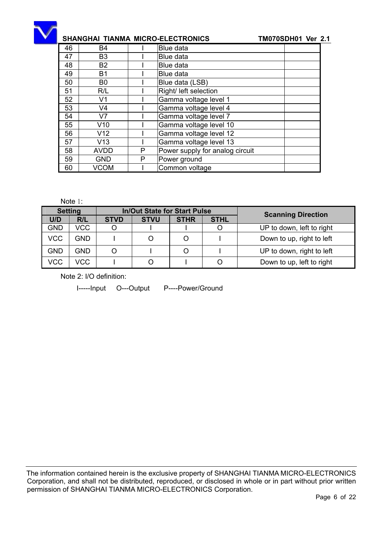

| 46 | <b>B4</b>       |   | <b>Blue data</b>                |
|----|-----------------|---|---------------------------------|
| 47 | B <sub>3</sub>  |   | Blue data                       |
| 48 | <b>B2</b>       |   | Blue data                       |
| 49 | <b>B1</b>       |   | Blue data                       |
| 50 | B <sub>0</sub>  |   | Blue data (LSB)                 |
| 51 | R/L             |   | Right/ left selection           |
| 52 | V <sub>1</sub>  |   | Gamma voltage level 1           |
| 53 | V <sub>4</sub>  |   | Gamma voltage level 4           |
| 54 | V <sub>7</sub>  |   | Gamma voltage level 7           |
| 55 | V10             |   | Gamma voltage level 10          |
| 56 | V <sub>12</sub> |   | Gamma voltage level 12          |
| 57 | V13             |   | Gamma voltage level 13          |
| 58 | <b>AVDD</b>     | P | Power supply for analog circuit |
| 59 | <b>GND</b>      | P | Power ground                    |
| 60 | VCOM            |   | Common voltage                  |

### Note 1:

| <b>Setting</b> |      |             | <b>In/Out State for Start Pulse</b> |             |             |                           |  |  |
|----------------|------|-------------|-------------------------------------|-------------|-------------|---------------------------|--|--|
| U/D            | R/L  | <b>STVD</b> | <b>STVU</b>                         | <b>STHR</b> | <b>STHL</b> | <b>Scanning Direction</b> |  |  |
| <b>GND</b>     | VCC  |             |                                     |             |             | UP to down, left to right |  |  |
| <b>VCC</b>     | GND. |             |                                     | Ω           |             | Down to up, right to left |  |  |
| <b>GND</b>     | GND  |             |                                     | Ω           |             | UP to down, right to left |  |  |
| <b>VCC</b>     | VCC  |             |                                     |             |             | Down to up, left to right |  |  |

Note 2: I/O definition:

I-----Input O---Output P----Power/Ground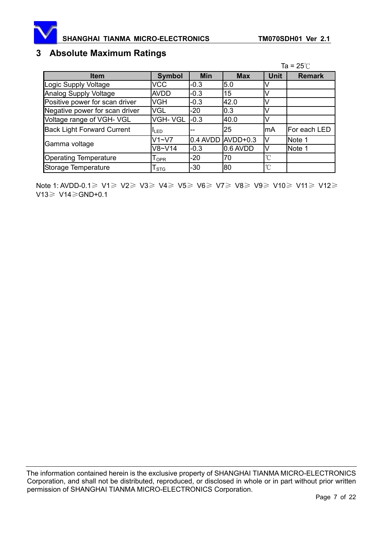

# **3 Absolute Maximum Ratings**

|                                   |               |            |                              |              | Ta = $25^\circ$ C |
|-----------------------------------|---------------|------------|------------------------------|--------------|-------------------|
| <b>Item</b>                       | <b>Symbol</b> | <b>Min</b> | <b>Max</b>                   | <b>Unit</b>  | <b>Remark</b>     |
| Logic Supply Voltage              | <b>VCC</b>    | $-0.3$     | 5.0                          |              |                   |
| <b>Analog Supply Voltage</b>      | <b>AVDD</b>   | $-0.3$     | 15                           |              |                   |
| Positive power for scan driver    | VGH           | $-0.3$     | 42.0                         |              |                   |
| Negative power for scan driver    | <b>VGL</b>    | -20        | 0.3                          | V            |                   |
| Voltage range of VGH- VGL         | VGH-VGL       | $-0.3$     | 40.0                         |              |                   |
| <b>Back Light Forward Current</b> | <b>ILED</b>   | --         | 25                           | lmA          | For each LED      |
|                                   | $V1 - V7$     |            | $0.4$ AVDD $\text{AVDD+0.3}$ | M            | Note 1            |
| Gamma voltage                     | $V8-V14$      | $-0.3$     | 0.6 AVDD                     |              | Note 1            |
| <b>Operating Temperature</b>      | $I_{OPR}$     | -20        | 70                           | $^{\circ}$ C |                   |
| Storage Temperature               | l stg         | $-30$      | 80                           | $^{\circ}$ C |                   |

Note 1: AVDD-0.1≥ V1≥ V2≥ V3≥ V4≥ V5≥ V6≥ V7≥ V8≥ V9≥ V10≥ V11≥ V12≥  $V13 \geq V14 \geq$ GND+0.1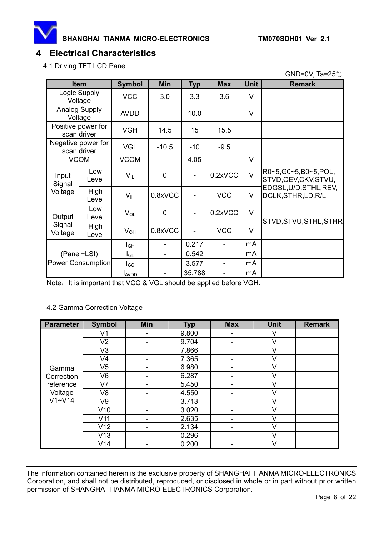

GND=0V, Ta= $25^\circ C$ 

# **4 Electrical Characteristics**

4.1 Driving TFT LCD Panel

|                   | <b>Item</b>                       | <b>Symbol</b>        | <b>Min</b>  | <b>Typ</b>               | <b>Max</b>               | <b>Unit</b> | <b>Remark</b>                                 |
|-------------------|-----------------------------------|----------------------|-------------|--------------------------|--------------------------|-------------|-----------------------------------------------|
|                   | Logic Supply<br>Voltage           |                      | 3.0         | 3.3                      | 3.6                      | V           |                                               |
|                   | <b>Analog Supply</b><br>Voltage   | <b>AVDD</b>          |             | 10.0                     |                          | V           |                                               |
|                   | Positive power for<br>scan driver | <b>VGH</b>           | 14.5        | 15                       | 15.5                     |             |                                               |
|                   | Negative power for<br>scan driver | <b>VGL</b>           | $-10.5$     | $-10$                    | $-9.5$                   |             |                                               |
|                   | <b>VCOM</b>                       | <b>VCOM</b>          | ÷           | 4.05                     | $\mathbf{r}$             | V           |                                               |
| Input<br>Signal   | Low<br>Level                      | $V_{IL}$             | $\mathbf 0$ |                          | 0.2xVCC                  | $\vee$      | R0~5,G0~5,B0~5,POL,<br>STVD, OEV, CKV, STVU,  |
| Voltage           | High<br>Level                     | $V_{\text{IH}}$      | 0.8xVCC     |                          | <b>VCC</b>               | V           | EDGSL, U/D, STHL, REV,<br>DCLK, STHR, LD, R/L |
| Output            | Low<br>Level                      | $V_{OL}$             | $\mathbf 0$ | $\overline{\phantom{0}}$ | 0.2xVCC                  | $\vee$      | STVD, STVU, STHL, STHR                        |
| Signal<br>Voltage | High<br>Level                     | $V_{OH}$             | 0.8xVCC     |                          | <b>VCC</b>               | $\vee$      |                                               |
| (Panel+LSI)       |                                   | $I_{G\underline{H}}$ |             | 0.217                    |                          | mA          |                                               |
|                   |                                   | $I_{GL}$             |             | 0.542                    |                          | mA          |                                               |
|                   | Power Consumption                 | $I_{\rm CC}$         |             | 3.577                    |                          | mA          |                                               |
|                   |                                   | <b>I</b> AVDD        |             | 35.788                   | $\overline{\phantom{a}}$ | mA          |                                               |

Note: It is important that VCC & VGL should be applied before VGH.

### 4.2 Gamma Correction Voltage

| <b>Parameter</b> | <b>Symbol</b>  | Min | <b>Typ</b> | <b>Max</b> | <b>Unit</b> | <b>Remark</b> |
|------------------|----------------|-----|------------|------------|-------------|---------------|
|                  | V <sub>1</sub> | -   | 9.800      | -          | V           |               |
|                  | V <sub>2</sub> | -   | 9.704      |            | V           |               |
|                  | V <sub>3</sub> |     | 7.866      |            | V           |               |
|                  | V4             |     | 7.365      |            | V           |               |
| Gamma            | V <sub>5</sub> | -   | 6.980      |            | V           |               |
| Correction       | V <sub>6</sub> | -   | 6.287      |            | V           |               |
| reference        | V <sub>7</sub> |     | 5.450      |            | $\vee$      |               |
| Voltage          | V <sub>8</sub> | ۰   | 4.550      | -          | V           |               |
| $V1 - V14$       | V9             |     | 3.713      |            | $\vee$      |               |
|                  | V10            |     | 3.020      |            | v           |               |
|                  | V11            |     | 2.635      |            | V           |               |
|                  | V12            | ۰   | 2.134      |            | V           |               |
|                  | V13            | -   | 0.296      |            | V           |               |
|                  | V14            |     | 0.200      |            | V           |               |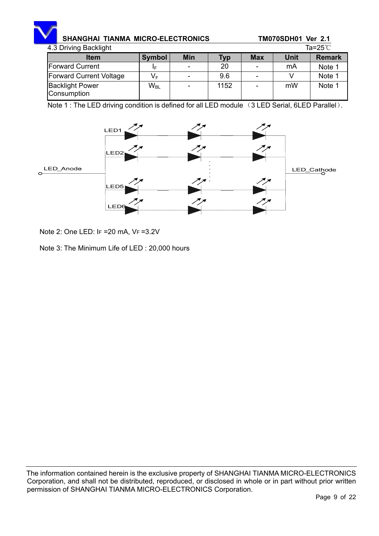| 4.3 Driving Backlight                 |               |            |      |            | Ta=25℃      |               |  |
|---------------------------------------|---------------|------------|------|------------|-------------|---------------|--|
| <b>Item</b>                           | <b>Symbol</b> | <b>Min</b> | Typ  | <b>Max</b> | <b>Unit</b> | <b>Remark</b> |  |
| <b>Forward Current</b>                | IΕ            |            | 20   |            | mA          | Note 1        |  |
| Forward Current Voltage               | $V_F$         |            | 9.6  |            |             | Note 1        |  |
| <b>Backlight Power</b><br>Consumption | $W_{\rm BL}$  |            | 1152 |            | mW          | Note 1        |  |

Note 1 : The LED driving condition is defined for all LED module (3 LED Serial, 6LED Parallel).



Note 2: One LED: IF =20 mA, VF =3.2V

Note 3: The Minimum Life of LED : 20,000 hours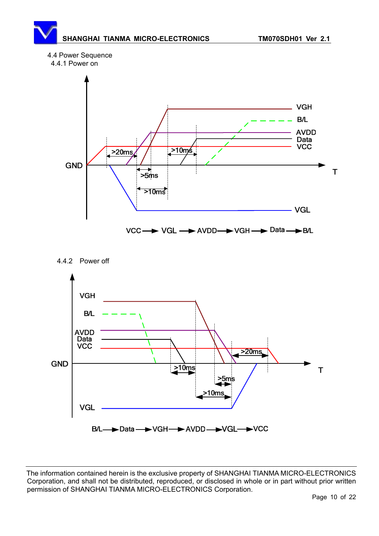## 4.4 Power Sequence







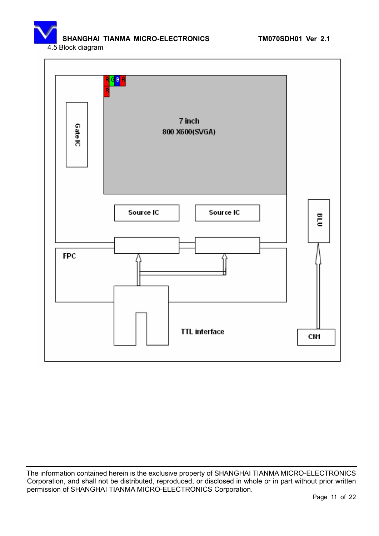4.5 Block diagram

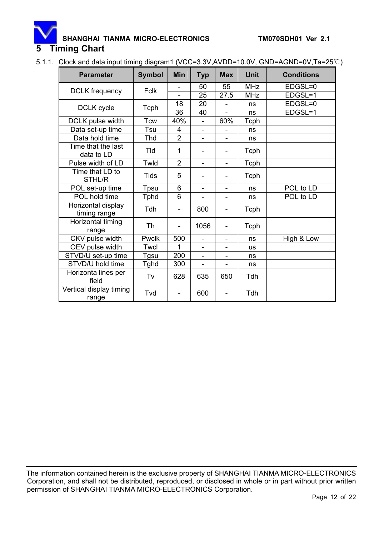### **5 Timing Chart**

5.1.1. Clock and data input timing diagram1 (VCC=3.3V,AVDD=10.0V, GND=AGND=0V,Ta=25°C)

| <b>Parameter</b>                   | <b>Symbol</b> | <b>Min</b>               | <b>Typ</b>                   | <b>Max</b>               | <b>Unit</b> | <b>Conditions</b> |
|------------------------------------|---------------|--------------------------|------------------------------|--------------------------|-------------|-------------------|
| <b>DCLK</b> frequency              | <b>Fclk</b>   | -                        | 50                           | 55                       | <b>MHz</b>  | EDGSL=0           |
|                                    |               |                          | 25                           | 27.5                     | <b>MHz</b>  | EDGSL=1           |
| DCLK cycle                         | Tcph          | 18                       | 20                           |                          | ns          | EDGSL=0           |
|                                    |               | 36                       | 40                           | $\overline{a}$           | ns          | EDGSL=1           |
| DCLK pulse width                   | <b>Tcw</b>    | 40%                      | $\overline{\phantom{0}}$     | 60%                      | Tcph        |                   |
| Data set-up time                   | Tsu           | 4                        | $\overline{\phantom{0}}$     |                          | ns          |                   |
| Data hold time                     | Thd           | $\overline{2}$           | ÷,                           | $\overline{\phantom{0}}$ | ns          |                   |
| Time that the last<br>data to LD   | Tld           | 1                        | -                            | -                        | Tcph        |                   |
| Pulse width of LD                  | Twld          | $\overline{2}$           | $\overline{\phantom{a}}$     | $\overline{\phantom{a}}$ | Tcph        |                   |
| Time that LD to<br>STHL/R          | <b>Tlds</b>   | 5                        | -                            | -                        | Tcph        |                   |
| POL set-up time                    | Tpsu          | 6                        | $\overline{\phantom{a}}$     | -                        | ns          | POL to LD         |
| POL hold time                      | <b>Tphd</b>   | 6                        | $\qquad \qquad \blacksquare$ | -                        | ns          | POL to LD         |
| Horizontal display<br>timing range | Tdh           |                          | 800                          |                          | Tcph        |                   |
| Horizontal timing<br>range         | <b>Th</b>     | $\overline{\phantom{0}}$ | 1056                         | -                        | Tcph        |                   |
| CKV pulse width                    | Pwclk         | 500                      | $\blacksquare$               | $\overline{\phantom{0}}$ | ns          | High & Low        |
| OEV pulse width                    | Twcl          | 1                        | $\qquad \qquad \blacksquare$ |                          | <b>us</b>   |                   |
| STVD/U set-up time                 | <b>Tgsu</b>   | 200                      |                              |                          | ns          |                   |
| STVD/U hold time                   | Tghd          | 300                      | $\overline{\phantom{0}}$     | L,                       | ns          |                   |
| Horizonta lines per<br>field       | Tv            | 628                      | 635                          | 650                      | Tdh         |                   |
| Vertical display timing<br>range   | Tvd           |                          | 600                          |                          | Tdh         |                   |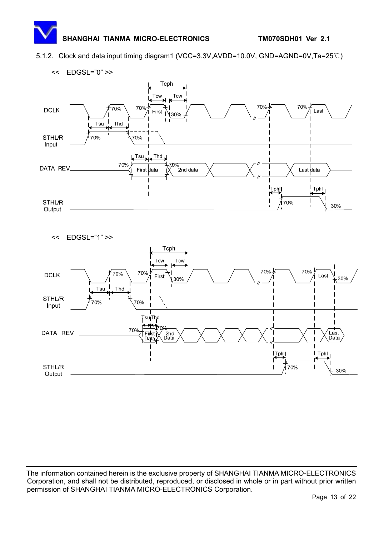5.1.2. Clock and data input timing diagram1 (VCC=3.3V,AVDD=10.0V, GND=AGND=0V,Ta=25°C)



<< EDGSL="1" >>

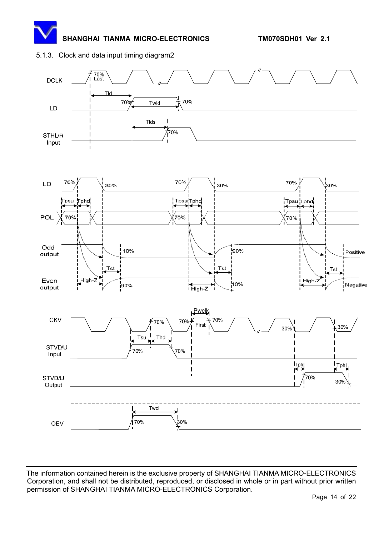### 5.1.3. Clock and data input timing diagram2





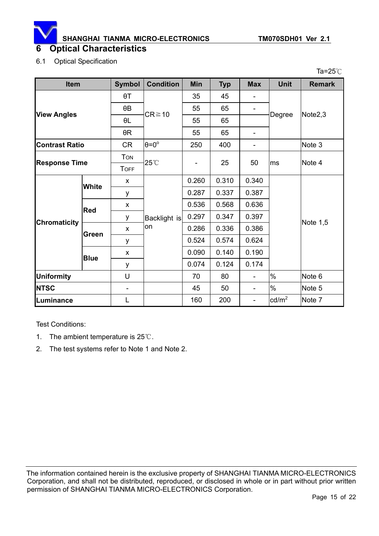

### 6.1 Optical Specification

| Ta= $25^{\circ}$ C    |                            |                          |                      |                |            |                              |                   |                     |
|-----------------------|----------------------------|--------------------------|----------------------|----------------|------------|------------------------------|-------------------|---------------------|
| Item                  |                            | <b>Symbol</b>            | <b>Condition</b>     | <b>Min</b>     | <b>Typ</b> | <b>Max</b>                   | <b>Unit</b>       | <b>Remark</b>       |
|                       |                            | $\theta T$               |                      | 35             | 45         | $\qquad \qquad \blacksquare$ |                   |                     |
|                       |                            | $\theta$ B               |                      | 55             | 65         | $\overline{\phantom{a}}$     |                   |                     |
|                       | <b>View Angles</b>         |                          | $CR \ge 10$          | 55             | 65         |                              | Degree            | Note <sub>2,3</sub> |
|                       |                            | $\theta R$               |                      | 55             | 65         | $\qquad \qquad \blacksquare$ |                   |                     |
| <b>Contrast Ratio</b> |                            | <b>CR</b>                | $\theta = 0^{\circ}$ | 250            | 400        | $\qquad \qquad \blacksquare$ |                   | Note 3              |
|                       |                            | <b>TON</b>               |                      |                |            |                              |                   | Note 4              |
| <b>Response Time</b>  |                            | <b>TOFF</b>              | 25°C                 | $\overline{a}$ | 25         | 50                           | ms                |                     |
|                       | <b>White</b><br><b>Red</b> | X                        | Backlight is<br>on   | 0.260          | 0.310      | 0.340                        |                   | Note 1,5            |
|                       |                            | у                        |                      | 0.287          | 0.337      | 0.387                        |                   |                     |
|                       |                            | X                        |                      | 0.536          | 0.568      | 0.636                        |                   |                     |
| <b>Chromaticity</b>   |                            | у                        |                      | 0.297          | 0.347      | 0.397                        |                   |                     |
|                       | Green<br><b>Blue</b>       | X                        |                      | 0.286          | 0.336      | 0.386                        |                   |                     |
|                       |                            | У                        |                      | 0.524          | 0.574      | 0.624                        |                   |                     |
|                       |                            | X                        |                      | 0.090          | 0.140      | 0.190                        |                   |                     |
|                       |                            | у                        |                      | 0.074          | 0.124      | 0.174                        |                   |                     |
| <b>Uniformity</b>     |                            | U                        |                      | 70             | 80         | $\overline{\phantom{0}}$     | $\%$              | Note 6              |
| <b>NTSC</b>           |                            | $\overline{\phantom{m}}$ |                      | 45             | 50         | $\overline{\phantom{0}}$     | $\%$              | Note 5              |
| Luminance             |                            | L                        |                      | 160            | 200        | $\overline{\phantom{a}}$     | $\textsf{cd/m}^2$ | Note 7              |

Test Conditions:

- 1. The ambient temperature is  $25^{\circ}$ .
- 2. The test systems refer to Note 1 and Note 2.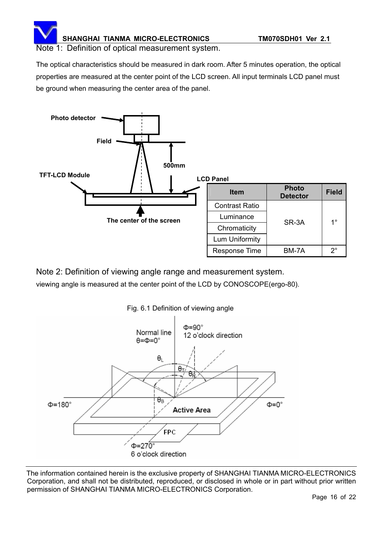Note 1: Definition of optical measurement system.

The optical characteristics should be measured in dark room. After 5 minutes operation, the optical properties are measured at the center point of the LCD screen. All input terminals LCD panel must be ground when measuring the center area of the panel.



Note 2: Definition of viewing angle range and measurement system. viewing angle is measured at the center point of the LCD by CONOSCOPE(ergo-80).

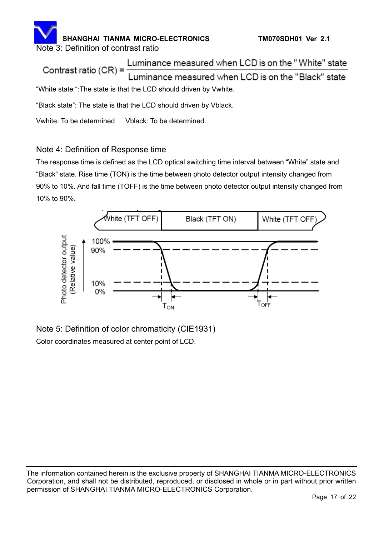# **SHANGHAI TIANMA MICRO-ELECTRONICS TM070SDH01 Ver 2.1** Note 3: Definition of contrast ratio

Luminance measured when LCD is on the "White" state Contrast ratio (CR) = uminance measured when LCD is on the "Black" state "White state ":The state is that the LCD should driven by Vwhite.

"Black state": The state is that the LCD should driven by Vblack.

Vwhite: To be determined Vblack: To be determined.

# Note 4: Definition of Response time

The response time is defined as the LCD optical switching time interval between "White" state and "Black" state. Rise time (TON) is the time between photo detector output intensity changed from 90% to 10%. And fall time (TOFF) is the time between photo detector output intensity changed from 10% to 90%.



Note 5: Definition of color chromaticity (CIE1931) Color coordinates measured at center point of LCD.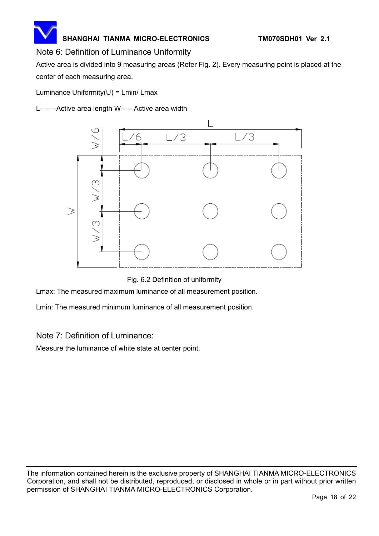# Note 6: Definition of Luminance Uniformity

Active area is divided into 9 measuring areas (Refer Fig. 2). Every measuring point is placed at the center of each measuring area.

Luminance Uniformity $(U)$  = Lmin/ Lmax

L-------Active area length W----- Active area width



Fig. 6.2 Definition of uniformity

Lmax: The measured maximum luminance of all measurement position.

Lmin: The measured minimum luminance of all measurement position.

### Note 7: Definition of Luminance:

Measure the luminance of white state at center point.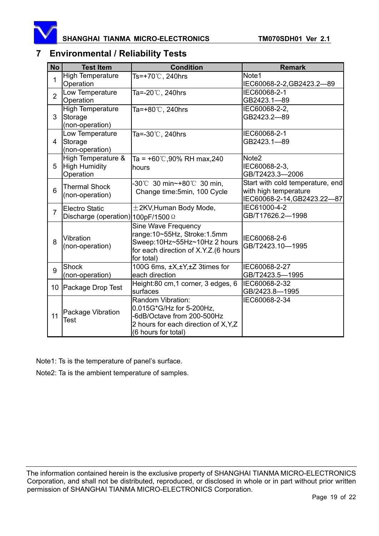

# **7 Environmental / Reliability Tests**

| <b>No</b>       | <b>Test Item</b>                                                   | <b>Condition</b>                                                                                                                            | <b>Remark</b>                                                                            |
|-----------------|--------------------------------------------------------------------|---------------------------------------------------------------------------------------------------------------------------------------------|------------------------------------------------------------------------------------------|
| $\mathbf{1}$    | <b>High Temperature</b><br>Operation                               | Ts=+70℃, 240hrs                                                                                                                             | Note1<br>IEC60068-2-2, GB2423.2-89                                                       |
| $\overline{2}$  | Low Temperature<br>Operation                                       | Ta=-20℃, 240hrs                                                                                                                             | IEC60068-2-1<br>GB2423.1-89                                                              |
| 3               | <b>High Temperature</b><br>Storage<br>(non-operation)              | Ta=+80℃, 240hrs                                                                                                                             | IEC60068-2-2,<br>GB2423.2-89                                                             |
| 4               | Low Temperature<br>Storage<br>(non-operation)                      | Ta=-30℃, 240hrs                                                                                                                             | IEC60068-2-1<br>GB2423.1-89                                                              |
| 5               | High Temperature &<br>High Humidity<br>Operation                   | Ta = $+60^{\circ}$ C,90% RH max,240<br>hours                                                                                                | Note <sub>2</sub><br>IEC60068-2-3,<br>GB/T2423.3-2006                                    |
| 6               | <b>Thermal Shock</b><br>(non-operation)                            | -30℃ 30 min~+80℃ 30 min,<br>Change time: 5min, 100 Cycle                                                                                    | Start with cold temperature, end<br>with high temperature<br>IEC60068-2-14, GB2423.22-87 |
| $\overline{7}$  | <b>Electro Static</b><br>Discharge (operation) 100pF/1500 $\Omega$ | $\pm$ 2KV, Human Body Mode,                                                                                                                 | IEC61000-4-2<br>GB/T17626.2-1998                                                         |
| 8               | Vibration<br>(non-operation)                                       | Sine Wave Frequency<br>range:10~55Hz, Stroke:1.5mm<br>Sweep:10Hz~55Hz~10Hz 2 hours<br>for each direction of X.Y.Z.(6 hours<br>for total)    | IEC60068-2-6<br>GB/T2423.10-1995                                                         |
| 9               | <b>Shock</b><br>(non-operation)                                    | 100G 6ms, ±X,±Y,±Z 3times for<br>each direction                                                                                             | IEC60068-2-27<br>GB/T2423.5-1995                                                         |
| 10 <sup>°</sup> | Package Drop Test                                                  | Height:80 cm,1 corner, 3 edges, 6<br>surfaces                                                                                               | IEC60068-2-32<br>GB/2423.8-1995                                                          |
| 11              | Package Vibration<br>Test                                          | Random Vibration:<br>0.015G*G/Hz for 5-200Hz,<br>-6dB/Octave from 200-500Hz<br>2 hours for each direction of X, Y, Z<br>(6 hours for total) | IEC60068-2-34                                                                            |

Note1: Ts is the temperature of panel's surface.

Note2: Ta is the ambient temperature of samples.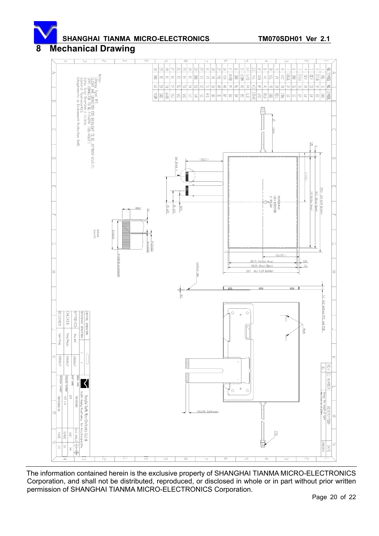# **8 Mechanical Drawing**

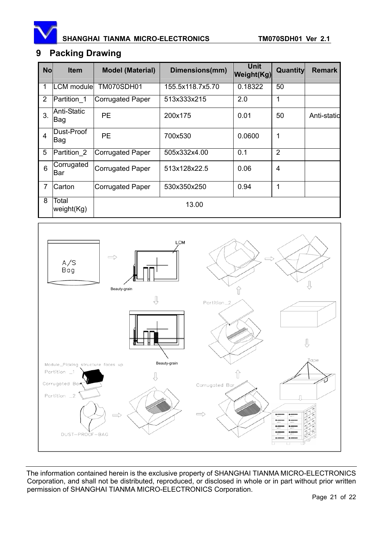

# **9 Packing Drawing**

| <b>No</b>      | <b>Item</b>                | <b>Model (Material)</b> | Dimensions(mm)   | Unit<br><b>Weight(Kg)</b> | <b>Quantity</b> | <b>Remark</b> |
|----------------|----------------------------|-------------------------|------------------|---------------------------|-----------------|---------------|
| 1              | <b>LCM</b> module          | <b>TM070SDH01</b>       | 155.5x118.7x5.70 | 0.18322                   | 50              |               |
| 2              | Partition 1                | Corrugated Paper        | 513x333x215      | 2.0                       | 1               |               |
| 3.             | Anti-Static<br><b>IBag</b> | <b>PE</b>               | 200x175          | 0.01                      | 50              | Anti-statid   |
| 4              | Dust-Proof<br><b>IBag</b>  | <b>PE</b>               | 700x530          | 0.0600                    | 1               |               |
| 5              | Partition 2                | Corrugated Paper        | 505x332x4.00     | 0.1                       | $\overline{2}$  |               |
| 6              | Corrugated<br>Bar          | <b>Corrugated Paper</b> | 513x128x22.5     | 0.06                      | 4               |               |
| $\overline{7}$ | Carton                     | <b>Corrugated Paper</b> | 530x350x250      | 0.94                      | 1               |               |
| 8              | Total<br>weight(Kg)        |                         | 13.00            |                           |                 |               |